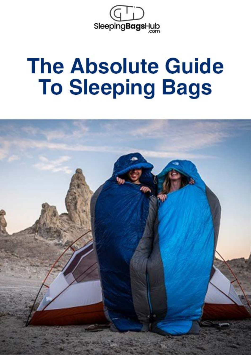

# **The Absolute Guide To Sleeping Bags**

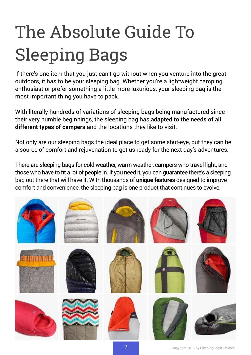# The Absolute Guide To Sleeping Bags

If there's one item that you just can't go without when you venture into the great outdoors, it has to be your sleeping bag. Whether you're a lightweight camping enthusiast or prefer something a little more luxurious, your sleeping bag is the most important thing you have to pack.

With literally hundreds of variations of sleeping bags being manufactured since their very humble beginnings, the sleeping bag has **adapted to the needs of all different types of campers** and the locations they like to visit.

Not only are our sleeping bags the ideal place to get some shut-eye, but they can be a source of comfort and rejuvenation to get us ready for the next day's adventures.

There are sleeping bags for cold weather, warm weather, campers who travel light, and those who have to fit a lot of people in. If you need it, you can guarantee there's a sleeping bag out there that will have it. With thousands of **unique features** designed to improve comfort and convenience, the sleeping bag is one product that continues to evolve.

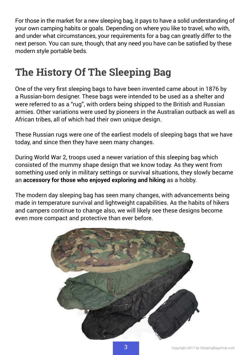For those in the market for a new sleeping bag, it pays to have a solid understanding of your own camping habits or goals. Depending on where you like to travel, who with, and under what circumstances, your requirements for a bag can greatly differ to the next person. You can sure, though, that any need you have can be satisfied by these modern style portable beds.

## **The History Of The Sleeping Bag**

One of the very first sleeping bags to have been invented came about in 1876 by a Russian-born designer. These bags were intended to be used as a shelter and were referred to as a "rug", with orders being shipped to the British and Russian armies. Other variations were used by pioneers in the Australian outback as well as African tribes, all of which had their own unique design.

These Russian rugs were one of the earliest models of sleeping bags that we have today, and since then they have seen many changes.

During World War 2, troops used a newer variation of this sleeping bag which consisted of the mummy shape design that we know today. As they went from something used only in military settings or survival situations, they slowly became an **accessory for those who enjoyed exploring and hiking** as a hobby.

The modern day sleeping bag has seen many changes, with advancements being made in temperature survival and lightweight capabilities. As the habits of hikers and campers continue to change also, we will likely see these designs become even more compact and protective than ever before.

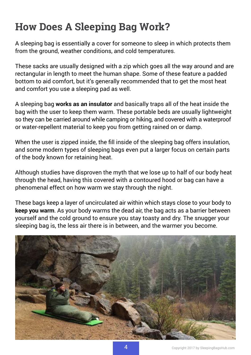# **How Does A Sleeping Bag Work?**

A sleeping bag is essentially a cover for someone to sleep in which protects them from the ground, weather conditions, and cold temperatures.

These sacks are usually designed with a zip which goes all the way around and are rectangular in length to meet the human shape. Some of these feature a padded bottom to aid comfort, but it's generally recommended that to get the most heat and comfort you use a sleeping pad as well.

A sleeping bag **works as an insulator** and basically traps all of the heat inside the bag with the user to keep them warm. These portable beds are usually lightweight so they can be carried around while camping or hiking, and covered with a waterproof or water-repellent material to keep you from getting rained on or damp.

When the user is zipped inside, the fill inside of the sleeping bag offers insulation, and some modern types of sleeping bags even put a larger focus on certain parts of the body known for retaining heat.

Although studies have disproven the myth that we lose up to half of our body heat through the head, having this covered with a contoured hood or bag can have a phenomenal effect on how warm we stay through the night.

These bags keep a layer of uncirculated air within which stays close to your body to **keep you warm**. As your body warms the dead air, the bag acts as a barrier between yourself and the cold ground to ensure you stay toasty and dry. The snugger your sleeping bag is, the less air there is in between, and the warmer you become.

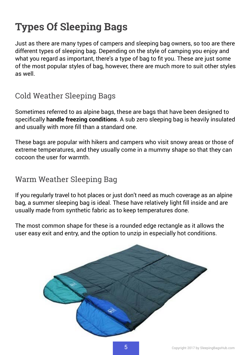# **Types Of Sleeping Bags**

Just as there are many types of campers and sleeping bag owners, so too are there different types of sleeping bag. Depending on the style of camping you enjoy and what you regard as important, there's a type of bag to fit you. These are just some of the most popular styles of bag, however, there are much more to suit other styles as well.

## Cold Weather Sleeping Bags

Sometimes referred to as alpine bags, these are bags that have been designed to specifically **handle freezing conditions**. A sub zero sleeping bag is heavily insulated and usually with more fill than a standard one.

These bags are popular with hikers and campers who visit snowy areas or those of extreme temperatures, and they usually come in a mummy shape so that they can cocoon the user for warmth.

#### Warm Weather Sleeping Bag

If you regularly travel to hot places or just don't need as much coverage as an alpine bag, a summer sleeping bag is ideal. These have relatively light fill inside and are usually made from synthetic fabric as to keep temperatures done.

The most common shape for these is a rounded edge rectangle as it allows the user easy exit and entry, and the option to unzip in especially hot conditions.

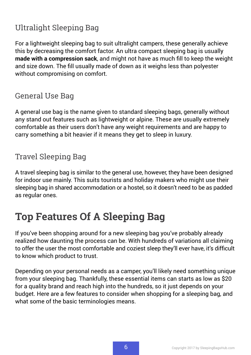## Ultralight Sleeping Bag

For a lightweight sleeping bag to suit ultralight campers, these generally achieve this by decreasing the comfort factor. An ultra compact sleeping bag is usually **made with a compression sack**, and might not have as much fill to keep the weight and size down. The fill usually made of down as it weighs less than polyester without compromising on comfort.

#### General Use Bag

A general use bag is the name given to standard sleeping bags, generally without any stand out features such as lightweight or alpine. These are usually extremely comfortable as their users don't have any weight requirements and are happy to carry something a bit heavier if it means they get to sleep in luxury.

## Travel Sleeping Bag

A travel sleeping bag is similar to the general use, however, they have been designed for indoor use mainly. This suits tourists and holiday makers who might use their sleeping bag in shared accommodation or a hostel, so it doesn't need to be as padded as regular ones.

## **Top Features Of A Sleeping Bag**

If you've been shopping around for a new sleeping bag you've probably already realized how daunting the process can be. With hundreds of variations all claiming to offer the user the most comfortable and coziest sleep they'll ever have, it's difficult to know which product to trust.

Depending on your personal needs as a camper, you'll likely need something unique from your sleeping bag. Thankfully, these essential items can starts as low as \$20 for a quality brand and reach high into the hundreds, so it just depends on your budget. Here are a few features to consider when shopping for a sleeping bag, and what some of the basic terminologies means.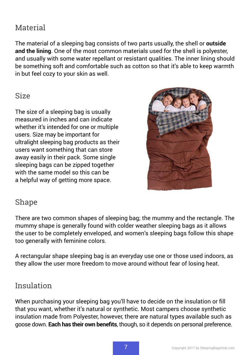## Material

The material of a sleeping bag consists of two parts usually, the shell or **outside and the lining**. One of the most common materials used for the shell is polyester, and usually with some water repellant or resistant qualities. The inner lining should be something soft and comfortable such as cotton so that it's able to keep warmth in but feel cozy to your skin as well.

#### Size

The size of a sleeping bag is usually measured in inches and can indicate whether it's intended for one or multiple users. Size may be important for ultralight sleeping bag products as their users want something that can store away easily in their pack. Some single sleeping bags can be zipped together with the same model so this can be a helpful way of getting more space.



#### Shape

There are two common shapes of sleeping bag; the mummy and the rectangle. The mummy shape is generally found with colder weather sleeping bags as it allows the user to be completely enveloped, and women's sleeping bags follow this shape too generally with feminine colors.

A rectangular shape sleeping bag is an everyday use one or those used indoors, as they allow the user more freedom to move around without fear of losing heat.

#### Insulation

When purchasing your sleeping bag you'll have to decide on the insulation or fill that you want, whether it's natural or synthetic. Most campers choose synthetic insulation made from Polyester, however, there are natural types available such as goose down. **Each has their own benefits**, though, so it depends on personal preference.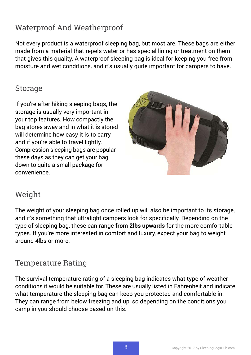## Waterproof And Weatherproof

Not every product is a waterproof sleeping bag, but most are. These bags are either made from a material that repels water or has special lining or treatment on them that gives this quality. A waterproof sleeping bag is ideal for keeping you free from moisture and wet conditions, and it's usually quite important for campers to have.

#### Storage

If you're after hiking sleeping bags, the storage is usually very important in your top features. How compactly the bag stores away and in what it is stored will determine how easy it is to carry and if you're able to travel lightly. Compression sleeping bags are popular these days as they can get your bag down to quite a small package for convenience.



#### Weight

The weight of your sleeping bag once rolled up will also be important to its storage, and it's something that ultralight campers look for specifically. Depending on the type of sleeping bag, these can range **from 2lbs upwards** for the more comfortable types. If you're more interested in comfort and luxury, expect your bag to weight around 4lbs or more.

#### Temperature Rating

The survival temperature rating of a sleeping bag indicates what type of weather conditions it would be suitable for. These are usually listed in Fahrenheit and indicate what temperature the sleeping bag can keep you protected and comfortable in. They can range from below freezing and up, so depending on the conditions you camp in you should choose based on this.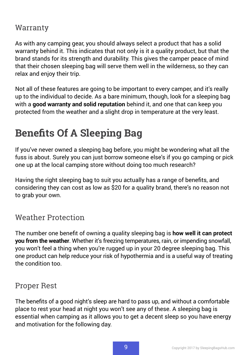#### Warranty

As with any camping gear, you should always select a product that has a solid warranty behind it. This indicates that not only is it a quality product, but that the brand stands for its strength and durability. This gives the camper peace of mind that their chosen sleeping bag will serve them well in the wilderness, so they can relax and enjoy their trip.

Not all of these features are going to be important to every camper, and it's really up to the individual to decide. As a bare minimum, though, look for a sleeping bag with a **good warranty and solid reputation** behind it, and one that can keep you protected from the weather and a slight drop in temperature at the very least.

# **Benefits Of A Sleeping Bag**

If you've never owned a sleeping bag before, you might be wondering what all the fuss is about. Surely you can just borrow someone else's if you go camping or pick one up at the local camping store without doing too much research?

Having the right sleeping bag to suit you actually has a range of benefits, and considering they can cost as low as \$20 for a quality brand, there's no reason not to grab your own.

#### Weather Protection

The number one benefit of owning a quality sleeping bag is **how well it can protect you from the weather**. Whether it's freezing temperatures, rain, or impending snowfall, you won't feel a thing when you're rugged up in your 20 degree sleeping bag. This one product can help reduce your risk of hypothermia and is a useful way of treating the condition too.

#### Proper Rest

The benefits of a good night's sleep are hard to pass up, and without a comfortable place to rest your head at night you won't see any of these. A sleeping bag is essential when camping as it allows you to get a decent sleep so you have energy and motivation for the following day.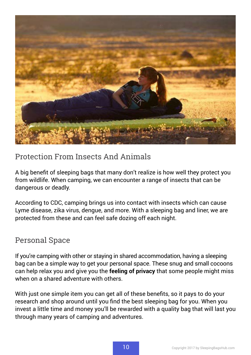

#### Protection From Insects And Animals

A big benefit of sleeping bags that many don't realize is how well they protect you from wildlife. When camping, we can encounter a range of insects that can be dangerous or deadly.

According to CDC, camping brings us into contact with insects which can cause Lyme disease, zika virus, dengue, and more. With a sleeping bag and liner, we are protected from these and can feel safe dozing off each night.

#### Personal Space

If you're camping with other or staying in shared accommodation, having a sleeping bag can be a simple way to get your personal space. These snug and small cocoons can help relax you and give you the **feeling of privacy** that some people might miss when on a shared adventure with others.

With just one simple item you can get all of these benefits, so it pays to do your research and shop around until you find the best sleeping bag for you. When you invest a little time and money you'll be rewarded with a quality bag that will last you through many years of camping and adventures.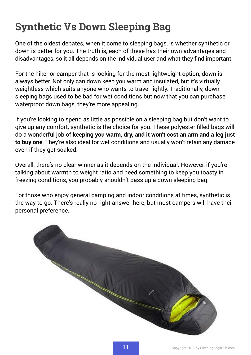# **Synthetic Vs Down Sleeping Bag**

One of the oldest debates, when it come to sleeping bags, is whether synthetic or down is better for you. The truth is, each of these has their own advantages and disadvantages, so it all depends on the individual user and what they find important.

For the hiker or camper that is looking for the most lightweight option, down is always better. Not only can down keep you warm and insulated, but it's virtually weightless which suits anyone who wants to travel lightly. Traditionally, down sleeping bags used to be bad for wet conditions but now that you can purchase waterproof down bags, they're more appealing.

If you're looking to spend as little as possible on a sleeping bag but don't want to give up any comfort, synthetic is the choice for you. These polyester filled bags will do a wonderful job of **keeping you warm, dry, and it won't cost an arm and a leg just to buy one**. They're also ideal for wet conditions and usually won't retain any damage even if they get soaked.

Overall, there's no clear winner as it depends on the individual. However, if you're talking about warmth to weight ratio and need something to keep you toasty in freezing conditions, you probably shouldn't pass up a down sleeping bag.

For those who enjoy general camping and indoor conditions at times, synthetic is the way to go. There's really no right answer here, but most campers will have their personal preference.

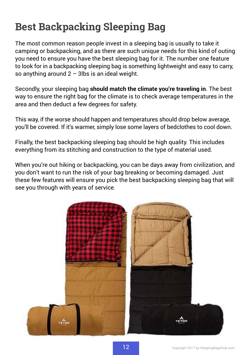## **Best Backpacking Sleeping Bag**

The most common reason people invest in a sleeping bag is usually to take it camping or backpacking, and as there are such unique needs for this kind of outing you need to ensure you have the best sleeping bag for it. The number one feature to look for in a backpacking sleeping bag is something lightweight and easy to carry, so anything around  $2 - 3$ lbs is an ideal weight.

Secondly, your sleeping bag **should match the climate you're traveling in**. The best way to ensure the right bag for the climate is to check average temperatures in the area and then deduct a few degrees for safety.

This way, if the worse should happen and temperatures should drop below average, you'll be covered. If it's warmer, simply lose some layers of bedclothes to cool down.

Finally, the best backpacking sleeping bag should be high quality. This includes everything from its stitching and construction to the type of material used.

When you're out hiking or backpacking, you can be days away from civilization, and you don't want to run the risk of your bag breaking or becoming damaged. Just these few features will ensure you pick the best backpacking sleeping bag that will see you through with years of service.